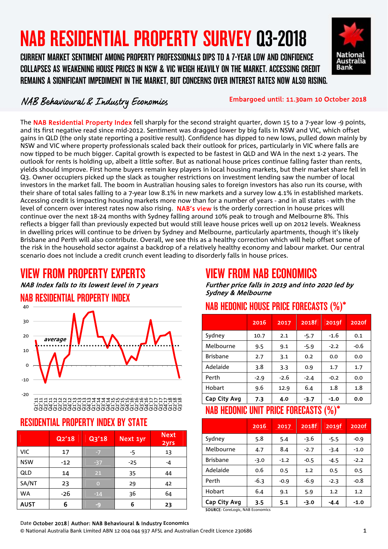# NAB RESIDENTIAL PROPERTY SURVEY Q3-2018

 COLLAPSES AS WEAKENING HOUSE PRICES IN NSW & VIC WEIGH HEAVILY ON THE MARKET. ACCESSING CREDIT CURRENT MARKET SENTIMENT AMONG PROPERTY PROFESSIONALS DIPS TO A 7-YEAR LOW AND CONFIDENCE REMAINS A SIGNIFICANT IMPEDIMENT IN THE MARKET, BUT CONCERNS OVER INTEREST RATES NOW ALSO RISING.



#### NAB Behavioural & Industry Economics

Embargoed until: 11.30am 10 October 2018

The NAB Residential Property Index fell sharply for the second straight quarter, down 15 to a 7-year low -9 points, and its first negative read since mid-2012. Sentiment was dragged lower by big falls in NSW and VIC, which offset gains in QLD (the only state reporting a positive result). Confidence has dipped to new lows, pulled down mainly by NSW and VIC where property professionals scaled back their outlook for prices, particularly in VIC where falls are now tipped to be much bigger. Capital growth is expected to be fastest in QLD and WA in the next 1-2 years. The outlook for rents is holding up, albeit a little softer. But as national house prices continue falling faster than rents, yields should improve. First home buyers remain key players in local housing markets, but their market share fell in Q3. Owner occupiers picked up the slack as tougher restrictions on investment lending saw the number of local investors in the market fall. The boom in Australian housing sales to foreign investors has also run its course, with their share of total sales falling to a 7-year low 8.1% in new markets and a survey low 4.1% in established markets. Accessing credit is impacting housing markets more now than for a number of years - and in all states - with the level of concern over interest rates now also rising. NAB's view is the orderly correction in house prices will continue over the next 18-24 months with Sydney falling around 10% peak to trough and Melbourne 8%. This reflects a bigger fall than previously expected but would still leave house prices well up on 2012 levels. Weakness in dwelling prices will continue to be driven by Sydney and Melbourne, particularly apartments, though it's likely Brisbane and Perth will also contribute. Overall, we see this as a healthy correction which will help offset some of the risk in the household sector against a backdrop of a relatively healthy economy and labour market. Our central scenario does not include a credit crunch event leading to disorderly falls in house prices.

#### VIEW FROM PROPERTY EXPERTS

NAB Index falls to its lowest level in 7 years

### NAB RESIDENTIAL PROPERTY INDEX



Q1'11 Q2'11 Q3'11 Q4'11 Q1'12 Q2'12 Q3'12 Q4'12 Q1'13 Q2'13 Q3'13 Q4'13 Q1'14 Q2'14 Q3'14 Q4'14 Q1'15 Q2'15 Q3'15 Q4'15 Q1'16 Q2'16 Q3'16 Q4'16 Q1'17 Q2'17 Q3'17 Q4'17 Q1'18 Q2'18 Q3'18

#### RESIDENTIAL PROPERTY INDEX BY STATE

|             | Q2'18 | Q3'18    | Next 1yr | <b>Next</b><br><b>2yrs</b> |
|-------------|-------|----------|----------|----------------------------|
| VIC         | 17    |          | -5       | 13                         |
| <b>NSW</b>  | $-12$ | $-37$    | $-25$    | -4                         |
| QLD         | 14    | 21       | 35       | 44                         |
| SA/NT       | 23    | $\Omega$ | 29       | 42                         |
| <b>WA</b>   | -26   | $-14$    | 36       | 64                         |
| <b>AUST</b> | 6     | -9       | 6        | 23                         |

#### VIEW FROM NAB ECONOMICS

Further price falls in 2019 and into 2020 led by Sydney & Melbourne

#### NAB HEDONIC HOUSE PRICE FORECASTS (%)\*

|                 | 2016   | 2017   | 2018f  | 2019f  | 2020f  |
|-----------------|--------|--------|--------|--------|--------|
| Sydney          | 10.7   | 2.1    | $-5.7$ | $-1.6$ | 0.1    |
| Melbourne       | 9.5    | 9.1    | $-5.9$ | $-2.2$ | $-0.6$ |
| <b>Brisbane</b> | 2.7    | 3.1    | 0.2    | 0.0    | 0.0    |
| Adelaide        | 3.8    | 3.3    | 0.9    | 1.7    | 1.7    |
| Perth           | $-2.9$ | $-2.6$ | $-2.4$ | $-0.2$ | 0.0    |
| Hobart          | 9.6    | 12.9   | 6.4    | 1.8    | 1.8    |
| Cap City Avg    | 7.3    | 4.0    | $-3.7$ | $-1.0$ | 0.0    |

#### NAB HEDONIC UNIT PRICE FORECASTS (%)\*

|                 | 2016   | 2017   | 2018f  | 2019f  | 2020f  |
|-----------------|--------|--------|--------|--------|--------|
| Sydney          | 5.8    | 5.4    | $-3.6$ | -5.5   | $-0.9$ |
| Melbourne       | 4.7    | 8.4    | $-2.7$ | $-3.4$ | $-1.0$ |
| <b>Brishane</b> | $-3.0$ | $-1.2$ | $-0.5$ | -4.5   | $-2.2$ |
| Adelaide        | 0.6    | 0.5    | 1.2    | 0.5    | 0.5    |
| Perth           | $-6.3$ | $-0.9$ | $-6.9$ | $-2.3$ | $-0.8$ |
| Hobart          | 6.4    | 9.1    | 5.9    | 1.2    | 1.2    |
| Cap City Avg    | 3.5    | 5.1    | $-3.0$ | -4.4   | $-1.0$ |

SOURCE: Corel ogic, NAB Economics

#### Date October 2018| Author: NAB Behavioural & Industry **Economics**

© National Australia Bank Limited ABN 12 004 044 937 AFSL and Australian Credit Licence 230686 1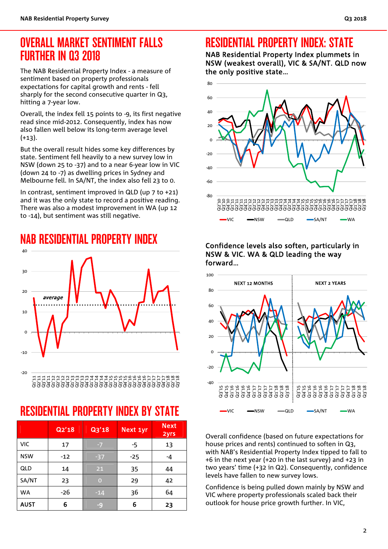### OVERALL MARKET SENTIMENT FALLS FURTHER IN Q3 2018

The NAB Residential Property Index - a measure of sentiment based on property professionals expectations for capital growth and rents - fell sharply for the second consecutive quarter in Q3, hitting a 7-year low.

Overall, the index fell 15 points to -9, its first negative read since mid-2012. Consequently, index has now also fallen well below its long-term average level  $(+13)$ .

But the overall result hides some key differences by state. Sentiment fell heavily to a new survey low in NSW (down 25 to -37) and to a near 6-year low in VIC (down 24 to -7) as dwelling prices in Sydney and Melbourne fell. In SA/NT, the index also fell 23 to 0.

In contrast, sentiment improved in QLD (up 7 to +21) and it was the only state to record a positive reading. There was also a modest improvement in WA (up 12 to -14), but sentiment was still negative.

NAB RESIDENTIAL PROPERTY INDEX



Q1'11 Q2'11 Q3'11 Q4'11 Q1'12 Q2'12 Q3'12 Q4'12 Q1'13 Q2'13 Q3'13 Q4'13 Q1'14 Q2'14 Q3'14 Q4'14 Q1'15 Q2'15 Q3'15 Q4'15 Q1'16 Q2'16 Q3'16 Q4'16 Q1'17 Q2'17 Q3'17 Q4'17 Q1'18 Q2'18 Q3'18

# RESIDENTIAL PROPERTY INDEX BY STATE

|             | Q2'18 | Q3'18          | Next 1yr | <b>Next</b><br>2yrs |
|-------------|-------|----------------|----------|---------------------|
| <b>VIC</b>  | 17    | $-7$           | -5       | 13                  |
| <b>NSW</b>  | $-12$ | $-37$          | $-25$    | -4                  |
| QLD         | 14    | 21             | 35       | 44                  |
| SA/NT       | 23    | $\overline{O}$ | 29       | 42                  |
| <b>WA</b>   | $-26$ | $-14$          | 36       | 64                  |
| <b>AUST</b> | 6     | $-9$           | 6        | 23                  |

# RESIDENTIAL PROPERTY INDEX: STATE

NAB Residential Property Index plummets in NSW (weakest overall), VIC & SA/NT. QLD now the only positive state…



#### Confidence levels also soften, particularly in NSW & VIC. WA & QLD leading the way forward…



Overall confidence (based on future expectations for house prices and rents) continued to soften in Q3, with NAB's Residential Property Index tipped to fall to +6 in the next year (+20 in the last survey) and +23 in two years' time (+32 in Q2). Consequently, confidence levels have fallen to new survey lows.

Confidence is being pulled down mainly by NSW and VIC where property professionals scaled back their outlook for house price growth further. In VIC,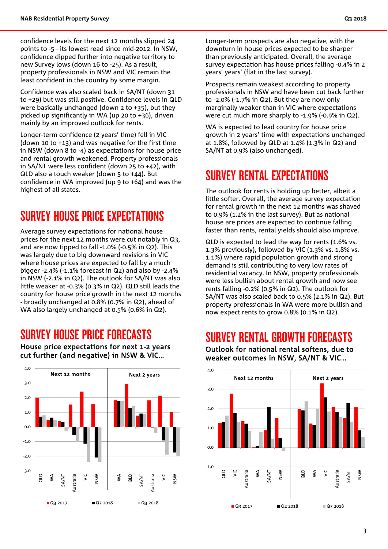confidence levels for the next 12 months slipped 24 points to -5 - its lowest read since mid-2012. In NSW, confidence dipped further into negative territory to new Survey lows (down 16 to -25). As a result, property professionals in NSW and VIC remain the least confident in the country by some margin.

Confidence was also scaled back in SA/NT (down 31 to +29) but was still positive. Confidence levels in QLD were basically unchanged (down 2 to +35), but they picked up significantly in WA (up 20 to +36), driven mainly by an improved outlook for rents.

Longer-term confidence (2 years' time) fell in VIC (down 10 to +13) and was negative for the first time in NSW (down 8 to -4) as expectations for house price and rental growth weakened. Property professionals in SA/NT were less confident (down 25 to +42), with QLD also a touch weaker (down 5 to +44). But confidence in WA improved (up 9 to +64) and was the highest of all states.

#### SURVEY HOUSE PRICE EXPECTATIONS

Average survey expectations for national house prices for the next 12 months were cut notably in Q3, and are now tipped to fall -1.0% (-0.5% in Q2). This was largely due to big downward revisions in VIC where house prices are expected to fall by a much bigger -2.4% (-1.1% forecast in Q2) and also by -2.4% in NSW (-2.1% in Q2). The outlook for SA/NT was also little weaker at -0.3% (0.3% in Q2). QLD still leads the country for house price growth in the next 12 months - broadly unchanged at 0.8% (0.7% in Q2), ahead of WA also largely unchanged at 0.5% (0.6% in Q2).

#### SURVEY HOUSE PRICE FORECASTS

-3.0 -2.0  $-1.0$  $0.0$ 1.0 2.0 3.0 4.0 QLD ≶ SA/NT Australia  $\leq$ NSW WA a<br>d SA/NT Australia  $\frac{c}{2}$ NSW Q3 2017 Q2 2018 Q3 2018 Next 12 months Next 2 years

House price expectations for next 1-2 years cut further (and negative) in NSW & VIC…

Longer-term prospects are also negative, with the downturn in house prices expected to be sharper than previously anticipated. Overall, the average survey expectation has house prices falling -0.4% in 2 years' years' (flat in the last survey).

Prospects remain weakest according to property professionals in NSW and have been cut back further to -2.0% (-1.7% in Q2). But they are now only marginally weaker than in VIC where expectations were cut much more sharply to -1.9% (-0.9% in Q2).

WA is expected to lead country for house price growth in 2 years' time with expectations unchanged at 1.8%, followed by QLD at 1.4% (1.3% in Q2) and SA/NT at 0.9% (also unchanged).

#### SURVEY RENTAL EXPECTATIONS

The outlook for rents is holding up better, albeit a little softer. Overall, the average survey expectation for rental growth in the next 12 months was shaved to 0.9% (1.2% in the last survey). But as national house are prices are expected to continue falling faster than rents, rental yields should also improve.

QLD is expected to lead the way for rents (1.6% vs. 1.3% previously), followed by VIC (1.3% vs. 1.8% vs. 1.1%) where rapid population growth and strong demand is still contributing to very low rates of residential vacancy. In NSW, property professionals were less bullish about rental growth and now see rents falling -0.2% (0.5% in Q2). The outlook for SA/NT was also scaled back to 0.5% (2.1% in Q2). But property professionals in WA were more bullish and now expect rents to grow 0.8% (0.1% in Q2).

#### SURVEY RENTAL GROWTH FORECASTS



Outlook for national rental softens, due to weaker outcomes in NSW, SA/NT & VIC…

 $\breve{=}$ Australia SA/NT NSW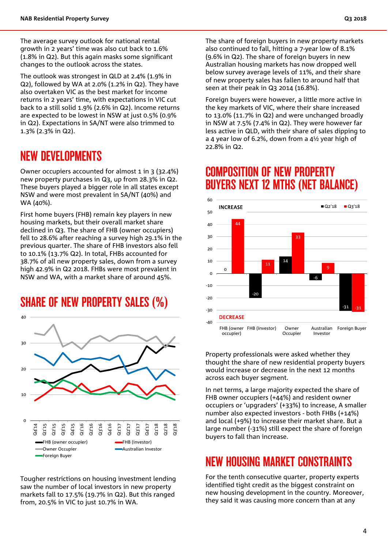The average survey outlook for national rental growth in 2 years' time was also cut back to 1.6% (1.8% in Q2). But this again masks some significant changes to the outlook across the states.

The outlook was strongest in QLD at 2.4% (1.9% in Q2), followed by WA at 2.0% (1.2% in Q2). They have also overtaken VIC as the best market for income returns in 2 years' time, with expectations in VIC cut back to a still solid 1.9% (2.6% in Q2). Income returns are expected to be lowest in NSW at just 0.5% (0.9% in Q2). Expectations in SA/NT were also trimmed to 1.3% (2.3% in Q2).

#### NEW DEVELOPMENTS

Owner occupiers accounted for almost 1 in 3 (32.4%) new property purchases in Q3, up from 28.3% in Q2. These buyers played a bigger role in all states except NSW and were most prevalent in SA/NT (40%) and WA (40%).

First home buyers (FHB) remain key players in new housing markets, but their overall market share declined in Q3. The share of FHB (owner occupiers) fell to 28.6% after reaching a survey high 29.1% in the previous quarter. The share of FHB investors also fell to 10.1% (13.7% Q2). In total, FHBs accounted for 38.7% of all new property sales, down from a survey high 42.9% in Q2 2018. FHBs were most prevalent in NSW and WA, with a market share of around 45%.

#### SHARE OF NEW PROPERTY SALES (%)



Tougher restrictions on housing investment lending saw the number of local investors in new property markets fall to 17.5% (19.7% in Q2). But this ranged from, 20.5% in VIC to just 10.7% in WA.

The share of foreign buyers in new property markets also continued to fall, hitting a 7-year low of 8.1% (9.6% in Q2). The share of foreign buyers in new Australian housing markets has now dropped well below survey average levels of 11%, and their share of new property sales has fallen to around half that seen at their peak in Q3 2014 (16.8%).

Foreign buyers were however, a little more active in the key markets of VIC, where their share increased to 13.0% (11.7% in Q2) and were unchanged broadly in NSW at 7.5% (7.4% in Q2). They were however far less active in QLD, with their share of sales dipping to a 4 year low of 6.2%, down from a 4½ year high of 22.8% in Q2.

#### COMPOSITION OF NEW PROPERTY BUYERS NEXT 12 MTHS (NET BALANCE)



Property professionals were asked whether they thought the share of new residential property buyers would increase or decrease in the next 12 months across each buyer segment.

In net terms, a large majority expected the share of FHB owner occupiers (+44%) and resident owner occupiers or 'upgraders' (+33%) to increase, A smaller number also expected investors - both FHBs (+14%) and local (+9%) to increase their market share. But a large number (-31%) still expect the share of foreign buyers to fall than increase.

#### NEW HOUSING MARKET CONSTRAINTS

For the tenth consecutive quarter, property experts identified tight credit as the biggest constraint on new housing development in the country. Moreover, they said it was causing more concern than at any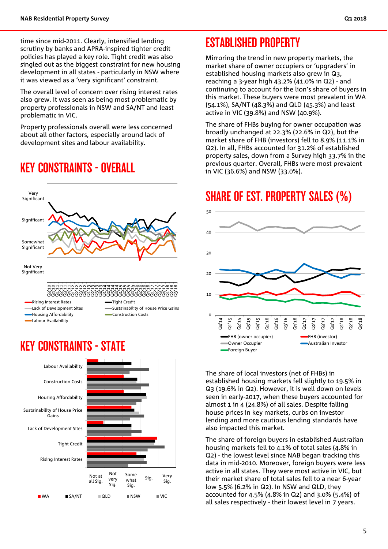time since mid-2011. Clearly, intensified lending scrutiny by banks and APRA-inspired tighter credit policies has played a key role. Tight credit was also singled out as the biggest constraint for new housing development in all states - particularly in NSW where it was viewed as a 'very significant' constraint.

The overall level of concern over rising interest rates also grew. It was seen as being most problematic by property professionals in NSW and SA/NT and least problematic in VIC.

Property professionals overall were less concerned about all other factors, especially around lack of development sites and labour availability.

#### KEY CONSTRAINTS - OVERALL



#### KEY CONSTRAINTS - STATE



#### ESTABLISHED PROPERTY

Mirroring the trend in new property markets, the market share of owner occupiers or 'upgraders' in established housing markets also grew in Q3, reaching a 3-year high 43.2% (41.0% in Q2) - and continuing to account for the lion's share of buyers in this market. These buyers were most prevalent in WA (54.1%), SA/NT (48.3%) and QLD (45.3%) and least active in VIC (39.8%) and NSW (40.9%).

The share of FHBs buying for owner occupation was broadly unchanged at 22.3% (22.6% in Q2), but the market share of FHB (investors) fell to 8.9% (11.1% in Q2). In all, FHBs accounted for 31.2% of established property sales, down from a Survey high 33.7% in the previous quarter. Overall, FHBs were most prevalent in VIC (36.6%) and NSW (33.0%).

#### SHARE OF EST. PROPERTY SALES (%)



The share of local investors (net of FHBs) in established housing markets fell slightly to 19.5% in Q3 (19.6% in Q2). However, it is well down on levels seen in early-2017, when these buyers accounted for almost 1 in 4 (24.8%) of all sales. Despite falling house prices in key markets, curbs on investor lending and more cautious lending standards have also impacted this market.

The share of foreign buyers in established Australian housing markets fell to 4.1% of total sales (4.8% in Q2) - the lowest level since NAB began tracking this data in mid-2010. Moreover, foreign buyers were less active in all states. They were most active in VIC, but their market share of total sales fell to a near 6-year low 5.5% (6.2% in Q2). In NSW and QLD, they accounted for 4.5% (4.8% in Q2) and 3.0% (5.4%) of all sales respectively - their lowest level in 7 years.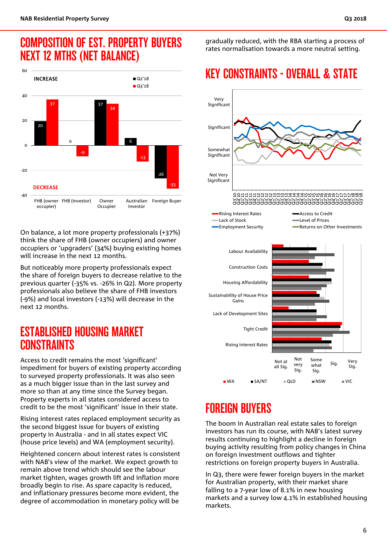### COMPOSITION OF EST. PROPERTY BUYERS NEXT 12 MTHS (NET BALANCE)



On balance, a lot more property professionals (+37%) think the share of FHB (owner occupiers) and owner occupiers or 'upgraders' (34%) buying existing homes will increase in the next 12 months.

But noticeably more property professionals expect the share of foreign buyers to decrease relative to the previous quarter (-35% vs. -26% in Q2). More property professionals also believe the share of FHB investors (-9%) and local investors (-13%) will decrease in the next 12 months.

#### ESTABLISHED HOUSING MARKET **CONSTRAINTS**

Access to credit remains the most 'significant' impediment for buyers of existing property according to surveyed property professionals. It was also seen as a much bigger issue than in the last survey and more so than at any time since the Survey began. Property experts in all states considered access to credit to be the most 'significant' issue in their state.

Rising interest rates replaced employment security as the second biggest issue for buyers of existing property in Australia - and in all states expect VIC (house price levels) and WA (employment security).

Heightened concern about interest rates is consistent with NAB's view of the market. We expect growth to remain above trend which should see the labour market tighten, wages growth lift and inflation more broadly begin to rise. As spare capacity is reduced, and inflationary pressures become more evident, the degree of accommodation in monetary policy will be

gradually reduced, with the RBA starting a process of rates normalisation towards a more neutral setting.

# KEY CONSTRAINTS - OVERALL & STATE



# FOREIGN BUYERS

The boom in Australian real estate sales to foreign investors has run its course, with NAB's latest survey results continuing to highlight a decline in foreign buying activity resulting from policy changes in China on foreign investment outflows and tighter restrictions on foreign property buyers in Australia.

In Q3, there were fewer foreign buyers in the market for Australian property, with their market share falling to a 7-year low of 8.1% in new housing markets and a survey low 4.1% in established housing markets.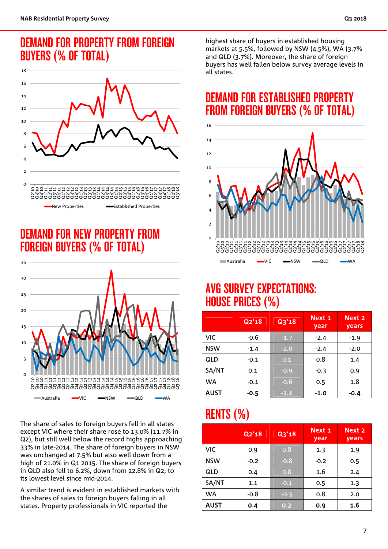#### DEMAND FOR PROPERTY FROM FOREIGN BUYERS (% OF TOTAL)



# DEMAND FOR NEW PROPERTY FROM FOREIGN BUYERS (% OF TOTAL)



The share of sales to foreign buyers fell in all states except VIC where their share rose to 13.0% (11.7% in Q2), but still well below the record highs approaching 33% in late-2014. The share of foreign buyers in NSW was unchanged at 7.5% but also well down from a high of 21.0% in Q1 2015. The share of foreign buyers in QLD also fell to 6.2%, down from 22.8% in Q2, to its lowest level since mid-2014.

A similar trend is evident in established markets with the shares of sales to foreign buyers falling in all states. Property professionals in VIC reported the

highest share of buyers in established housing markets at 5.5%, followed by NSW (4.5%), WA (3.7% and QLD (3.7%). Moreover, the share of foreign buyers has well fallen below survey average levels in all states.

# DEMAND FOR ESTABLISHED PROPERTY FROM FOREIGN BUYERS (% OF TOTAL)



#### AVG SURVEY EXPECTATIONS: HOUSE PRICES (%)

|             | Q2'18  | Q3'18  | Next 1<br>year | Next <sub>2</sub><br>years |
|-------------|--------|--------|----------------|----------------------------|
| <b>VIC</b>  | $-0.6$ | $-1.7$ | $-2.4$         | $-1.9$                     |
| <b>NSW</b>  | $-1.4$ | $-2.0$ | $-2.4$         | $-2.0$                     |
| QLD         | $-0.1$ | 0.1    | 0.8            | 1.4                        |
| SA/NT       | 0.1    | $-0.9$ | $-0.3$         | 0.9                        |
| <b>WA</b>   | $-0.1$ | $-0.6$ | 0.5            | 1.8                        |
| <b>AUST</b> | -0.5   | $-1.1$ | $-1.0$         | $-0.4$                     |

# RENTS (%)

|             | Q2'18  | Q3'18  | Next 1<br>year | Next 2<br>years |
|-------------|--------|--------|----------------|-----------------|
| VIC         | 0.9    | 0.8    | 1.3            | 1.9             |
| <b>NSW</b>  | $-0.2$ | $-0.8$ | $-0.2$         | 0.5             |
| QLD         | 0.4    | 0.8    | 1.6            | 2.4             |
| SA/NT       | 1.1    | $-0.1$ | 0.5            | 1.3             |
| <b>WA</b>   | $-0.8$ | $-0.3$ | 0.8            | 2.0             |
| <b>AUST</b> | 0.4    | 0.2    | 0.9            | 1.6             |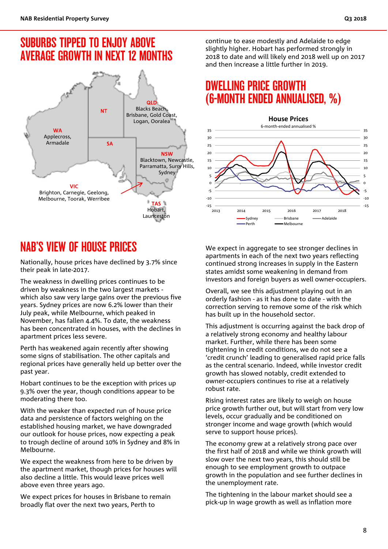### SUBURBS TIPPED TO ENJOY ABOVE AVERAGE GROWTH IN NEXT 12 MONTHS



# NAB'S VIEW OF HOUSE PRICES

Nationally, house prices have declined by 3.7% since their peak in late-2017.

The weakness in dwelling prices continues to be driven by weakness in the two largest markets which also saw very large gains over the previous five years. Sydney prices are now 6.2% lower than their July peak, while Melbourne, which peaked in November, has fallen 4.4%. To date, the weakness has been concentrated in houses, with the declines in apartment prices less severe.

Perth has weakened again recently after showing some signs of stabilisation. The other capitals and regional prices have generally held up better over the past year.

Hobart continues to be the exception with prices up 9.3% over the year, though conditions appear to be moderating there too.

With the weaker than expected run of house price data and persistence of factors weighing on the established housing market, we have downgraded our outlook for house prices, now expecting a peak to trough decline of around 10% in Sydney and 8% in Melbourne.

We expect the weakness from here to be driven by the apartment market, though prices for houses will also decline a little. This would leave prices well above even three years ago.

We expect prices for houses in Brisbane to remain broadly flat over the next two years, Perth to

continue to ease modestly and Adelaide to edge slightly higher. Hobart has performed strongly in 2018 to date and will likely end 2018 well up on 2017 and then increase a little further in 2019.

#### DWELLING PRICE GROWTH (6-MONTH ENDED ANNUALISED, %)



We expect in aggregate to see stronger declines in apartments in each of the next two years reflecting continued strong increases in supply in the Eastern states amidst some weakening in demand from investors and foreign buyers as well owner-occupiers.

Overall, we see this adjustment playing out in an orderly fashion - as it has done to date - with the correction serving to remove some of the risk which has built up in the household sector.

This adjustment is occurring against the back drop of a relatively strong economy and healthy labour market. Further, while there has been some tightening in credit conditions, we do not see a 'credit crunch' leading to generalised rapid price falls as the central scenario. Indeed, while investor credit growth has slowed notably, credit extended to owner-occupiers continues to rise at a relatively robust rate.

Rising interest rates are likely to weigh on house price growth further out, but will start from very low levels, occur gradually and be conditioned on stronger income and wage growth (which would serve to support house prices).

The economy grew at a relatively strong pace over the first half of 2018 and while we think growth will slow over the next two years, this should still be enough to see employment growth to outpace growth in the population and see further declines in the unemployment rate.

The tightening in the labour market should see a pick-up in wage growth as well as inflation more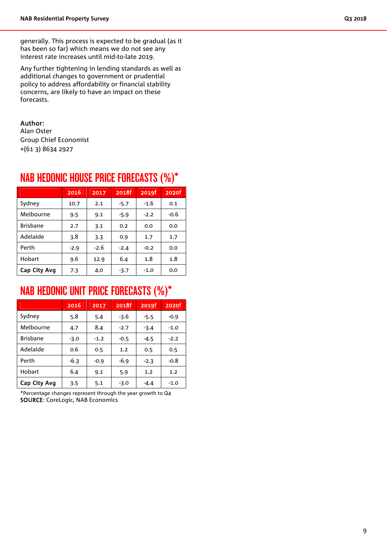generally. This process is expected to be gradual (as it has been so far) which means we do not see any interest rate increases until mid-to-late 2019.

Any further tightening in lending standards as well as additional changes to government or prudential policy to address affordability or financial stability concerns, are likely to have an impact on these forecasts.

#### Author:

Alan Oster Group Chief Economist +(61 3) 8634 2927

|                 | 2016   | 2017   | 2018f  | 2019f  | 2020f  |  |
|-----------------|--------|--------|--------|--------|--------|--|
| Sydney          | 10.7   | 2.1    | $-5.7$ | $-1.6$ | 0.1    |  |
| Melbourne       | 9.5    | 9.1    | $-5.9$ | $-2.2$ | $-0.6$ |  |
| <b>Brisbane</b> | 2.7    | 3.1    | 0.2    | 0.0    | 0.0    |  |
| Adelaide        | 3.8    | 3.3    | 0.9    | 1.7    | 1.7    |  |
| Perth           | $-2.9$ | $-2.6$ | $-2.4$ | $-0.2$ | 0.0    |  |
| Hobart          | 9.6    | 12.9   | 6.4    | 1.8    | 1.8    |  |
| Cap City Avg    | 7.3    | 4.0    | $-3.7$ | $-1.0$ | 0.0    |  |

#### NAB HEDONIC HOUSE PRICE FORECASTS (%)\*

### NAB HEDONIC UNIT PRICE FORECASTS (%)\*

|                 | 2016   | 2017   | 2018f  | 2019f  | 2020f  |
|-----------------|--------|--------|--------|--------|--------|
| Sydney          | 5.8    | 5.4    | $-3.6$ | $-5.5$ | $-0.9$ |
| Melbourne       | 4.7    | 8.4    | $-2.7$ | $-3.4$ | $-1.0$ |
| <b>Brisbane</b> | $-3.0$ | $-1.2$ | $-0.5$ | $-4.5$ | $-2.2$ |
| Adelaide        | 0.6    | 0.5    | 1.2    | 0.5    | 0.5    |
| Perth           | $-6.3$ | $-0.9$ | $-6.9$ | $-2.3$ | $-0.8$ |
| Hobart          | 6.4    | 9.1    | 5.9    | 1.2    | 1.2    |
| Cap City Avg    | 3.5    | 5.1    | $-3.0$ | $-4.4$ | $-1.0$ |

\*Percentage changes represent through the year growth to Q4 SOURCE: CoreLogic, NAB Economics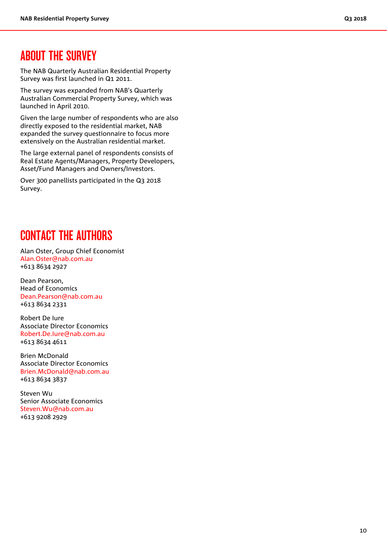#### ABOUT THE SURVEY

The NAB Quarterly Australian Residential Property Survey was first launched in Q1 2011.

The survey was expanded from NAB's Quarterly Australian Commercial Property Survey, which was launched in April 2010.

Given the large number of respondents who are also directly exposed to the residential market, NAB expanded the survey questionnaire to focus more extensively on the Australian residential market.

The large external panel of respondents consists of Real Estate Agents/Managers, Property Developers, Asset/Fund Managers and Owners/Investors.

Over 300 panellists participated in the Q3 2018 Survey.

### CONTACT THE AUTHORS

Alan Oster, Group Chief Economist Alan.Oster@nab.com.au +613 8634 2927

Dean Pearson, Head of Economics Dean.Pearson@nab.com.au +613 8634 2331

Robert De Iure Associate Director Economics Robert.De.Iure@nab.com.au +613 8634 4611

Brien McDonald Associate Director Economics Brien.McDonald@nab.com.au +613 8634 3837

Steven Wu Senior Associate Economics Steven.Wu@nab.com.au +613 9208 2929